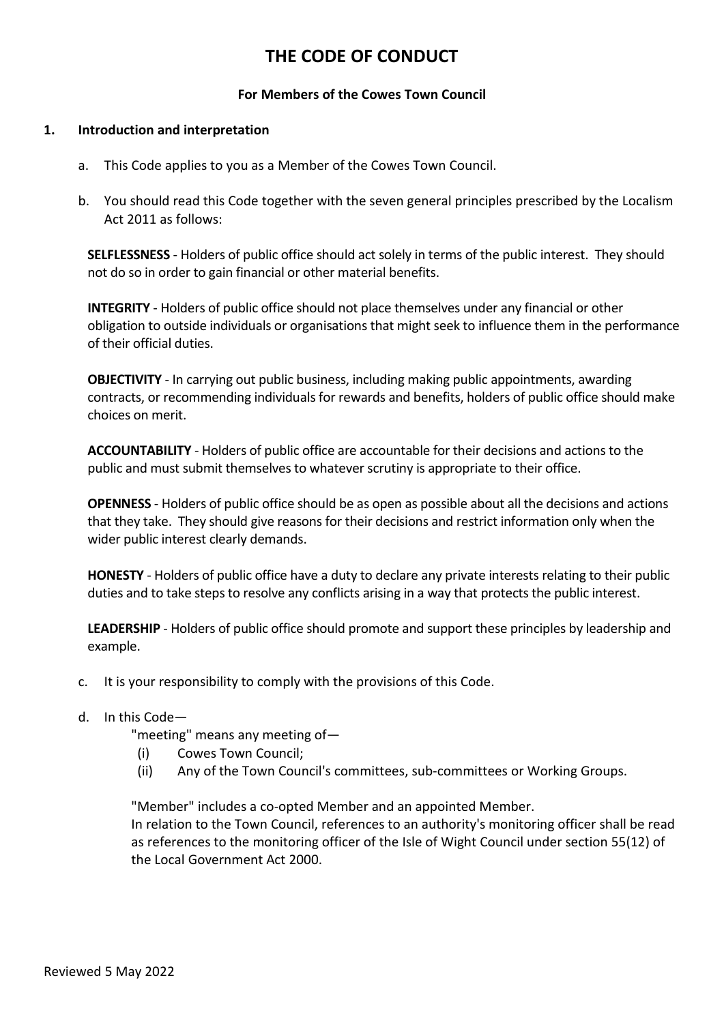# **THE CODE OF CONDUCT**

## **For Members of the Cowes Town Council**

## **1. Introduction and interpretation**

- a. This Code applies to you as a Member of the Cowes Town Council.
- b. You should read this Code together with the seven general principles prescribed by the Localism Act 2011 as follows:

**SELFLESSNESS** - Holders of public office should act solely in terms of the public interest. They should not do so in order to gain financial or other material benefits.

**INTEGRITY** - Holders of public office should not place themselves under any financial or other obligation to outside individuals or organisations that might seek to influence them in the performance of their official duties.

**OBJECTIVITY** - In carrying out public business, including making public appointments, awarding contracts, or recommending individuals for rewards and benefits, holders of public office should make choices on merit.

**ACCOUNTABILITY** - Holders of public office are accountable for their decisions and actions to the public and must submit themselves to whatever scrutiny is appropriate to their office.

**OPENNESS** - Holders of public office should be as open as possible about all the decisions and actions that they take. They should give reasons for their decisions and restrict information only when the wider public interest clearly demands.

**HONESTY** - Holders of public office have a duty to declare any private interests relating to their public duties and to take steps to resolve any conflicts arising in a way that protects the public interest.

**LEADERSHIP** - Holders of public office should promote and support these principles by leadership and example.

c. It is your responsibility to comply with the provisions of this Code.

## d. In this Code—

"meeting" means any meeting of—

- (i) Cowes Town Council;
- (ii) Any of the Town Council's committees, sub-committees or Working Groups.

"Member" includes a co-opted Member and an appointed Member. In relation to the Town Council, references to an authority's monitoring officer shall be read as references to the monitoring officer of the Isle of Wight Council under section 55(12) of the Local Government Act 2000.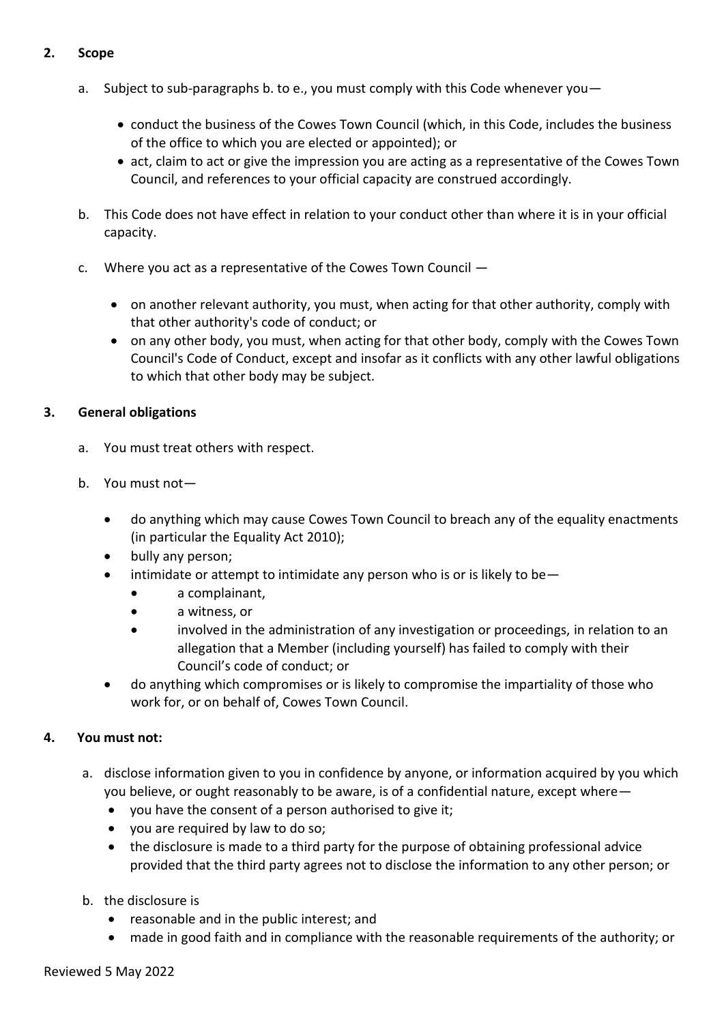# **2. Scope**

- a. Subject to sub-paragraphs b. to e., you must comply with this Code whenever you—
	- conduct the business of the Cowes Town Council (which, in this Code, includes the business of the office to which you are elected or appointed); or
	- act, claim to act or give the impression you are acting as a representative of the Cowes Town Council, and references to your official capacity are construed accordingly.
- b. This Code does not have effect in relation to your conduct other than where it is in your official capacity.
- c. Where you act as a representative of the Cowes Town Council
	- on another relevant authority, you must, when acting for that other authority, comply with that other authority's code of conduct; or
	- on any other body, you must, when acting for that other body, comply with the Cowes Town Council's Code of Conduct, except and insofar as it conflicts with any other lawful obligations to which that other body may be subject.

# **3. General obligations**

- a. You must treat others with respect.
- b. You must not
	- do anything which may cause Cowes Town Council to breach any of the equality enactments (in particular the Equality Act 2010);
	- bully any person;
	- intimidate or attempt to intimidate any person who is or is likely to be
		- a complainant,
		- a witness, or
		- involved in the administration of any investigation or proceedings, in relation to an allegation that a Member (including yourself) has failed to comply with their Council's code of conduct; or
	- do anything which compromises or is likely to compromise the impartiality of those who work for, or on behalf of, Cowes Town Council.

## **4. You must not:**

- a. disclose information given to you in confidence by anyone, or information acquired by you which you believe, or ought reasonably to be aware, is of a confidential nature, except where
	- you have the consent of a person authorised to give it;
	- you are required by law to do so;
	- the disclosure is made to a third party for the purpose of obtaining professional advice provided that the third party agrees not to disclose the information to any other person; or
- b. the disclosure is
	- reasonable and in the public interest; and
	- made in good faith and in compliance with the reasonable requirements of the authority; or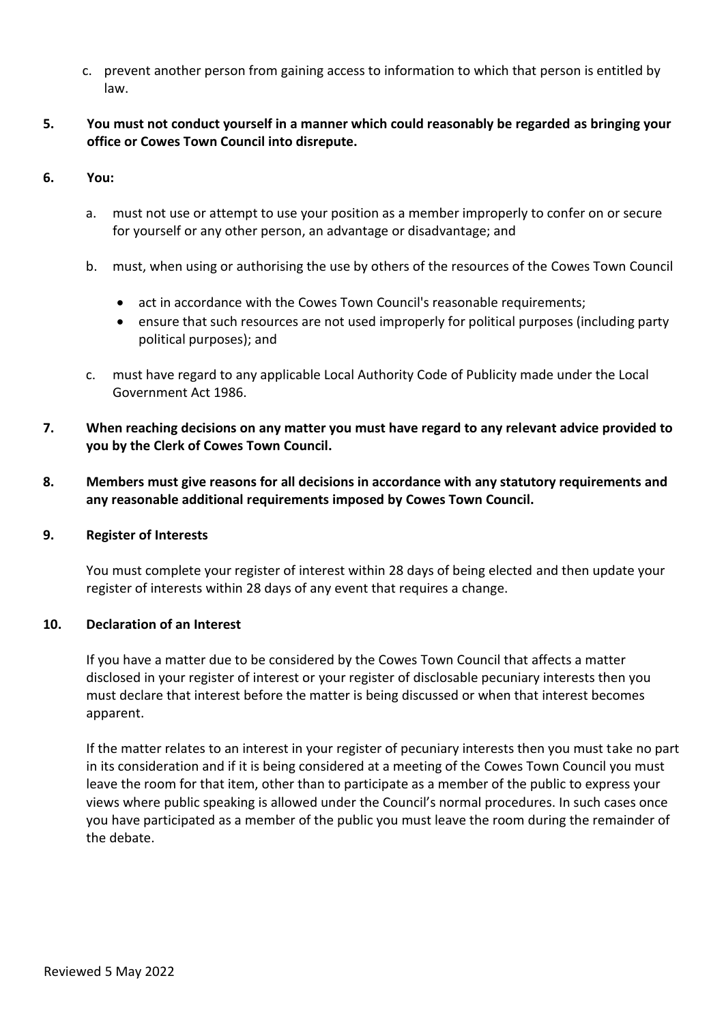- c. prevent another person from gaining access to information to which that person is entitled by law.
- **5. You must not conduct yourself in a manner which could reasonably be regarded as bringing your office or Cowes Town Council into disrepute.**
- **6. You:**
	- a. must not use or attempt to use your position as a member improperly to confer on or secure for yourself or any other person, an advantage or disadvantage; and
	- b. must, when using or authorising the use by others of the resources of the Cowes Town Council
		- act in accordance with the Cowes Town Council's reasonable requirements;
		- ensure that such resources are not used improperly for political purposes (including party political purposes); and
	- c. must have regard to any applicable Local Authority Code of Publicity made under the Local Government Act 1986.
- **7. When reaching decisions on any matter you must have regard to any relevant advice provided to you by the Clerk of Cowes Town Council.**
- **8. Members must give reasons for all decisions in accordance with any statutory requirements and any reasonable additional requirements imposed by Cowes Town Council.**

## **9. Register of Interests**

You must complete your register of interest within 28 days of being elected and then update your register of interests within 28 days of any event that requires a change.

## **10. Declaration of an Interest**

If you have a matter due to be considered by the Cowes Town Council that affects a matter disclosed in your register of interest or your register of disclosable pecuniary interests then you must declare that interest before the matter is being discussed or when that interest becomes apparent.

If the matter relates to an interest in your register of pecuniary interests then you must take no part in its consideration and if it is being considered at a meeting of the Cowes Town Council you must leave the room for that item, other than to participate as a member of the public to express your views where public speaking is allowed under the Council's normal procedures. In such cases once you have participated as a member of the public you must leave the room during the remainder of the debate.